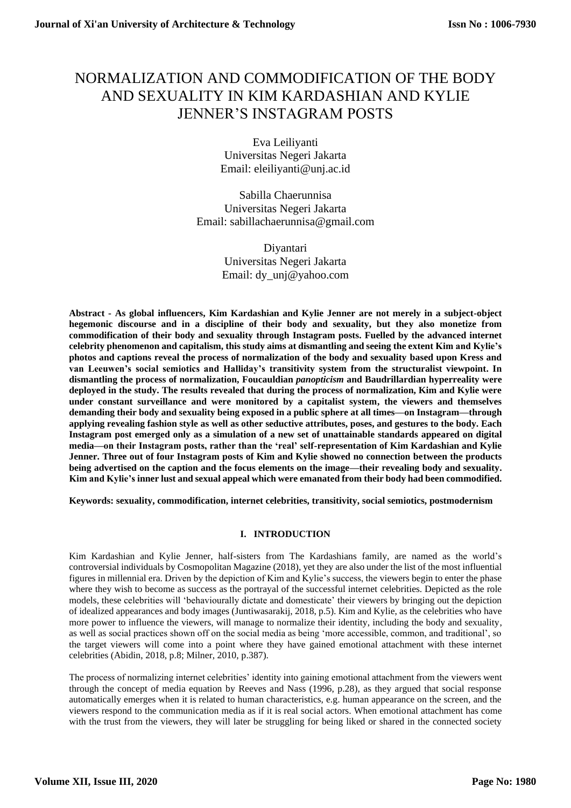# NORMALIZATION AND COMMODIFICATION OF THE BODY AND SEXUALITY IN KIM KARDASHIAN AND KYLIE JENNER'S INSTAGRAM POSTS

Eva Leiliyanti Universitas Negeri Jakarta Email: eleiliyanti@unj.ac.id

Sabilla Chaerunnisa Universitas Negeri Jakarta Email: sabillachaerunnisa@gmail.com

> Diyantari Universitas Negeri Jakarta Email: dy\_unj@yahoo.com

**Abstract - As global influencers, Kim Kardashian and Kylie Jenner are not merely in a subject-object hegemonic discourse and in a discipline of their body and sexuality, but they also monetize from commodification of their body and sexuality through Instagram posts. Fuelled by the advanced internet celebrity phenomenon and capitalism, this study aims at dismantling and seeing the extent Kim and Kylie's photos and captions reveal the process of normalization of the body and sexuality based upon Kress and van Leeuwen's social semiotics and Halliday's transitivity system from the structuralist viewpoint. In dismantling the process of normalization, Foucauldian** *panopticism* **and Baudrillardian hyperreality were deployed in the study. The results revealed that during the process of normalization, Kim and Kylie were under constant surveillance and were monitored by a capitalist system, the viewers and themselves demanding their body and sexuality being exposed in a public sphere at all times—on Instagram—through applying revealing fashion style as well as other seductive attributes, poses, and gestures to the body. Each Instagram post emerged only as a simulation of a new set of unattainable standards appeared on digital media—on their Instagram posts, rather than the 'real' self-representation of Kim Kardashian and Kylie Jenner. Three out of four Instagram posts of Kim and Kylie showed no connection between the products being advertised on the caption and the focus elements on the image—their revealing body and sexuality. Kim and Kylie's inner lust and sexual appeal which were emanated from their body had been commodified.**

**Keywords: sexuality, commodification, internet celebrities, transitivity, social semiotics, postmodernism**

# **I. INTRODUCTION**

Kim Kardashian and Kylie Jenner, half-sisters from The Kardashians family, are named as the world's controversial individuals by Cosmopolitan Magazine (2018), yet they are also under the list of the most influential figures in millennial era. Driven by the depiction of Kim and Kylie's success, the viewers begin to enter the phase where they wish to become as success as the portrayal of the successful internet celebrities. Depicted as the role models, these celebrities will 'behaviourally dictate and domesticate' their viewers by bringing out the depiction of idealized appearances and body images (Juntiwasarakij, 2018, p.5). Kim and Kylie, as the celebrities who have more power to influence the viewers, will manage to normalize their identity, including the body and sexuality, as well as social practices shown off on the social media as being 'more accessible, common, and traditional', so the target viewers will come into a point where they have gained emotional attachment with these internet celebrities (Abidin, 2018, p.8; Milner, 2010, p.387).

The process of normalizing internet celebrities' identity into gaining emotional attachment from the viewers went through the concept of media equation by Reeves and Nass (1996, p.28), as they argued that social response automatically emerges when it is related to human characteristics, e.g. human appearance on the screen, and the viewers respond to the communication media as if it is real social actors. When emotional attachment has come with the trust from the viewers, they will later be struggling for being liked or shared in the connected society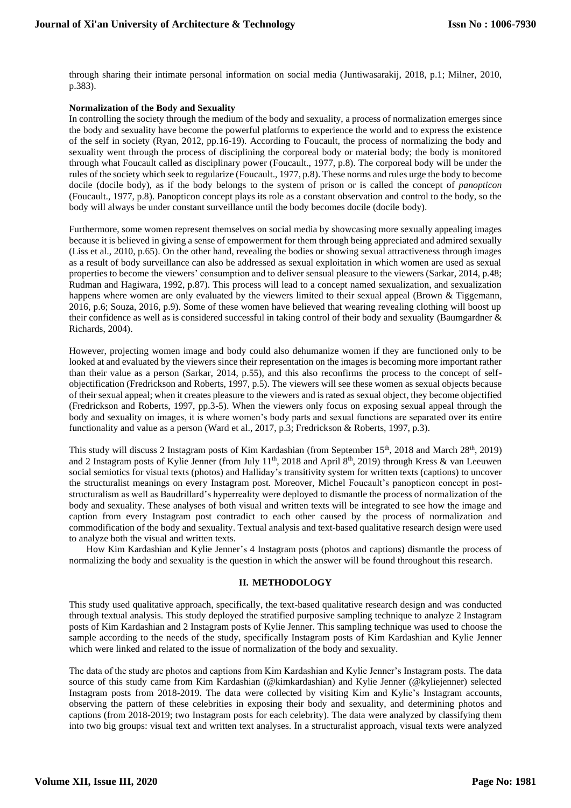through sharing their intimate personal information on social media (Juntiwasarakij, 2018, p.1; Milner, 2010, p.383).

## **Normalization of the Body and Sexuality**

In controlling the society through the medium of the body and sexuality, a process of normalization emerges since the body and sexuality have become the powerful platforms to experience the world and to express the existence of the self in society (Ryan, 2012, pp.16-19). According to Foucault, the process of normalizing the body and sexuality went through the process of disciplining the corporeal body or material body; the body is monitored through what Foucault called as disciplinary power (Foucault., 1977, p.8). The corporeal body will be under the rules of the society which seek to regularize (Foucault., 1977, p.8). These norms and rules urge the body to become docile (docile body), as if the body belongs to the system of prison or is called the concept of *panopticon* (Foucault., 1977, p.8). Panopticon concept plays its role as a constant observation and control to the body, so the body will always be under constant surveillance until the body becomes docile (docile body).

Furthermore, some women represent themselves on social media by showcasing more sexually appealing images because it is believed in giving a sense of empowerment for them through being appreciated and admired sexually (Liss et al., 2010, p.65). On the other hand, revealing the bodies or showing sexual attractiveness through images as a result of body surveillance can also be addressed as sexual exploitation in which women are used as sexual properties to become the viewers' consumption and to deliver sensual pleasure to the viewers (Sarkar, 2014, p.48; Rudman and Hagiwara, 1992, p.87). This process will lead to a concept named sexualization, and sexualization happens where women are only evaluated by the viewers limited to their sexual appeal (Brown & Tiggemann, 2016, p.6; Souza, 2016, p.9). Some of these women have believed that wearing revealing clothing will boost up their confidence as well as is considered successful in taking control of their body and sexuality (Baumgardner & Richards, 2004).

However, projecting women image and body could also dehumanize women if they are functioned only to be looked at and evaluated by the viewers since their representation on the images is becoming more important rather than their value as a person (Sarkar, 2014, p.55), and this also reconfirms the process to the concept of selfobjectification (Fredrickson and Roberts, 1997, p.5). The viewers will see these women as sexual objects because of their sexual appeal; when it creates pleasure to the viewers and is rated as sexual object, they become objectified (Fredrickson and Roberts, 1997, pp.3-5). When the viewers only focus on exposing sexual appeal through the body and sexuality on images, it is where women's body parts and sexual functions are separated over its entire functionality and value as a person (Ward et al., 2017, p.3; Fredrickson & Roberts, 1997, p.3).

This study will discuss 2 Instagram posts of Kim Kardashian (from September 15<sup>th</sup>, 2018 and March 28<sup>th</sup>, 2019) and 2 Instagram posts of Kylie Jenner (from July 11<sup>th</sup>, 2018 and April 8<sup>th</sup>, 2019) through Kress & van Leeuwen social semiotics for visual texts (photos) and Halliday's transitivity system for written texts (captions) to uncover the structuralist meanings on every Instagram post. Moreover, Michel Foucault's panopticon concept in poststructuralism as well as Baudrillard's hyperreality were deployed to dismantle the process of normalization of the body and sexuality. These analyses of both visual and written texts will be integrated to see how the image and caption from every Instagram post contradict to each other caused by the process of normalization and commodification of the body and sexuality. Textual analysis and text-based qualitative research design were used to analyze both the visual and written texts.

How Kim Kardashian and Kylie Jenner's 4 Instagram posts (photos and captions) dismantle the process of normalizing the body and sexuality is the question in which the answer will be found throughout this research.

# **II. METHODOLOGY**

This study used qualitative approach, specifically, the text-based qualitative research design and was conducted through textual analysis. This study deployed the stratified purposive sampling technique to analyze 2 Instagram posts of Kim Kardashian and 2 Instagram posts of Kylie Jenner. This sampling technique was used to choose the sample according to the needs of the study, specifically Instagram posts of Kim Kardashian and Kylie Jenner which were linked and related to the issue of normalization of the body and sexuality.

The data of the study are photos and captions from Kim Kardashian and Kylie Jenner's Instagram posts. The data source of this study came from Kim Kardashian (@kimkardashian) and Kylie Jenner (@kyliejenner) selected Instagram posts from 2018-2019. The data were collected by visiting Kim and Kylie's Instagram accounts, observing the pattern of these celebrities in exposing their body and sexuality, and determining photos and captions (from 2018-2019; two Instagram posts for each celebrity). The data were analyzed by classifying them into two big groups: visual text and written text analyses. In a structuralist approach, visual texts were analyzed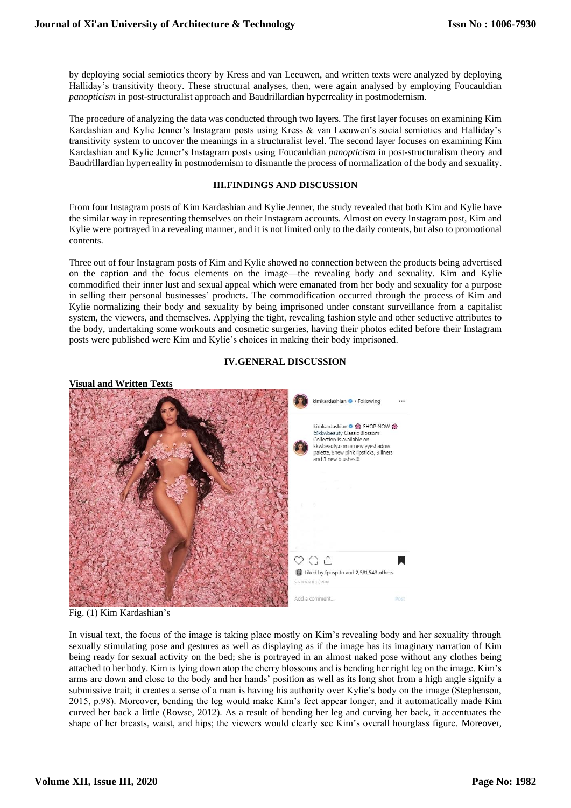by deploying social semiotics theory by Kress and van Leeuwen, and written texts were analyzed by deploying Halliday's transitivity theory. These structural analyses, then, were again analysed by employing Foucauldian *panopticism* in post-structuralist approach and Baudrillardian hyperreality in postmodernism.

The procedure of analyzing the data was conducted through two layers. The first layer focuses on examining Kim Kardashian and Kylie Jenner's Instagram posts using Kress & van Leeuwen's social semiotics and Halliday's transitivity system to uncover the meanings in a structuralist level. The second layer focuses on examining Kim Kardashian and Kylie Jenner's Instagram posts using Foucauldian *panopticism* in post-structuralism theory and Baudrillardian hyperreality in postmodernism to dismantle the process of normalization of the body and sexuality.

#### **III.FINDINGS AND DISCUSSION**

From four Instagram posts of Kim Kardashian and Kylie Jenner, the study revealed that both Kim and Kylie have the similar way in representing themselves on their Instagram accounts. Almost on every Instagram post, Kim and Kylie were portrayed in a revealing manner, and it is not limited only to the daily contents, but also to promotional contents.

Three out of four Instagram posts of Kim and Kylie showed no connection between the products being advertised on the caption and the focus elements on the image—the revealing body and sexuality. Kim and Kylie commodified their inner lust and sexual appeal which were emanated from her body and sexuality for a purpose in selling their personal businesses' products. The commodification occurred through the process of Kim and Kylie normalizing their body and sexuality by being imprisoned under constant surveillance from a capitalist system, the viewers, and themselves. Applying the tight, revealing fashion style and other seductive attributes to the body, undertaking some workouts and cosmetic surgeries, having their photos edited before their Instagram posts were published were Kim and Kylie's choices in making their body imprisoned.

# **IV.GENERAL DISCUSSION**



Fig. (1) Kim Kardashian's

In visual text, the focus of the image is taking place mostly on Kim's revealing body and her sexuality through sexually stimulating pose and gestures as well as displaying as if the image has its imaginary narration of Kim being ready for sexual activity on the bed; she is portrayed in an almost naked pose without any clothes being attached to her body. Kim is lying down atop the cherry blossoms and is bending her right leg on the image. Kim's arms are down and close to the body and her hands' position as well as its long shot from a high angle signify a submissive trait; it creates a sense of a man is having his authority over Kylie's body on the image (Stephenson, 2015, p.98). Moreover, bending the leg would make Kim's feet appear longer, and it automatically made Kim curved her back a little (Rowse, 2012). As a result of bending her leg and curving her back, it accentuates the shape of her breasts, waist, and hips; the viewers would clearly see Kim's overall hourglass figure. Moreover,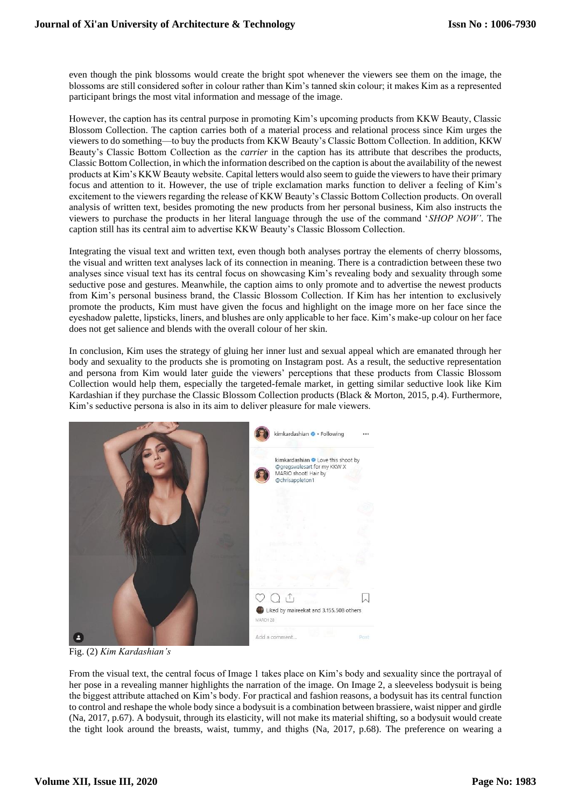even though the pink blossoms would create the bright spot whenever the viewers see them on the image, the blossoms are still considered softer in colour rather than Kim's tanned skin colour; it makes Kim as a represented participant brings the most vital information and message of the image.

However, the caption has its central purpose in promoting Kim's upcoming products from KKW Beauty, Classic Blossom Collection. The caption carries both of a material process and relational process since Kim urges the viewers to do something—to buy the products from KKW Beauty's Classic Bottom Collection. In addition, KKW Beauty's Classic Bottom Collection as the *carrier* in the caption has its attribute that describes the products, Classic Bottom Collection, in which the information described on the caption is about the availability of the newest products at Kim's KKW Beauty website. Capital letters would also seem to guide the viewers to have their primary focus and attention to it. However, the use of triple exclamation marks function to deliver a feeling of Kim's excitement to the viewers regarding the release of KKW Beauty's Classic Bottom Collection products. On overall analysis of written text, besides promoting the new products from her personal business, Kim also instructs the viewers to purchase the products in her literal language through the use of the command '*SHOP NOW'*. The caption still has its central aim to advertise KKW Beauty's Classic Blossom Collection.

Integrating the visual text and written text, even though both analyses portray the elements of cherry blossoms, the visual and written text analyses lack of its connection in meaning. There is a contradiction between these two analyses since visual text has its central focus on showcasing Kim's revealing body and sexuality through some seductive pose and gestures. Meanwhile, the caption aims to only promote and to advertise the newest products from Kim's personal business brand, the Classic Blossom Collection. If Kim has her intention to exclusively promote the products, Kim must have given the focus and highlight on the image more on her face since the eyeshadow palette, lipsticks, liners, and blushes are only applicable to her face. Kim's make-up colour on her face does not get salience and blends with the overall colour of her skin.

In conclusion, Kim uses the strategy of gluing her inner lust and sexual appeal which are emanated through her body and sexuality to the products she is promoting on Instagram post. As a result, the seductive representation and persona from Kim would later guide the viewers' perceptions that these products from Classic Blossom Collection would help them, especially the targeted-female market, in getting similar seductive look like Kim Kardashian if they purchase the Classic Blossom Collection products (Black & Morton, 2015, p.4). Furthermore, Kim's seductive persona is also in its aim to deliver pleasure for male viewers.



Fig. (2) *Kim Kardashian's*

From the visual text, the central focus of Image 1 takes place on Kim's body and sexuality since the portrayal of her pose in a revealing manner highlights the narration of the image. On Image 2, a sleeveless bodysuit is being the biggest attribute attached on Kim's body. For practical and fashion reasons, a bodysuit has its central function to control and reshape the whole body since a bodysuit is a combination between brassiere, waist nipper and girdle (Na, 2017, p.67). A bodysuit, through its elasticity, will not make its material shifting, so a bodysuit would create the tight look around the breasts, waist, tummy, and thighs (Na, 2017, p.68). The preference on wearing a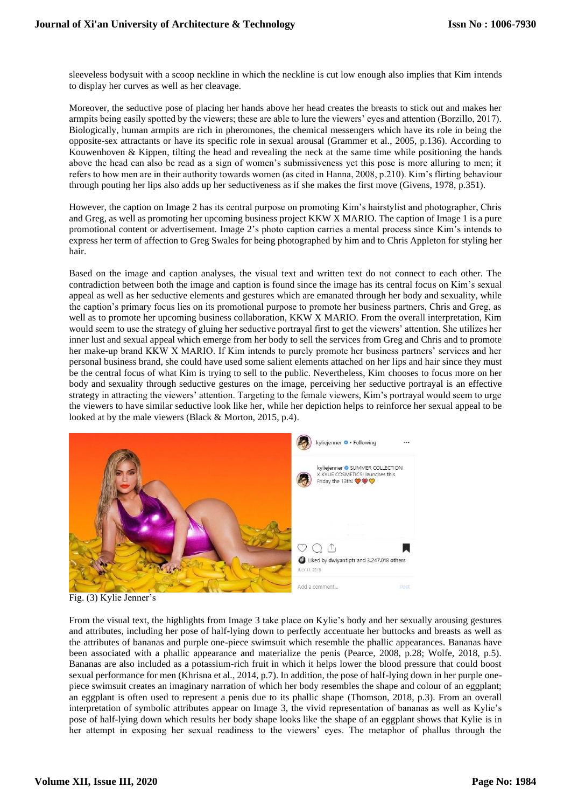sleeveless bodysuit with a scoop neckline in which the neckline is cut low enough also implies that Kim intends to display her curves as well as her cleavage.

Moreover, the seductive pose of placing her hands above her head creates the breasts to stick out and makes her armpits being easily spotted by the viewers; these are able to lure the viewers' eyes and attention (Borzillo, 2017). Biologically, human armpits are rich in pheromones, the chemical messengers which have its role in being the opposite-sex attractants or have its specific role in sexual arousal (Grammer et al., 2005, p.136). According to Kouwenhoven  $\&$  Kippen, tilting the head and revealing the neck at the same time while positioning the hands above the head can also be read as a sign of women's submissiveness yet this pose is more alluring to men; it refers to how men are in their authority towards women (as cited in Hanna, 2008, p.210). Kim's flirting behaviour through pouting her lips also adds up her seductiveness as if she makes the first move (Givens, 1978, p.351).

However, the caption on Image 2 has its central purpose on promoting Kim's hairstylist and photographer, Chris and Greg, as well as promoting her upcoming business project KKW X MARIO. The caption of Image 1 is a pure promotional content or advertisement. Image 2's photo caption carries a mental process since Kim's intends to express her term of affection to Greg Swales for being photographed by him and to Chris Appleton for styling her hair.

Based on the image and caption analyses, the visual text and written text do not connect to each other. The contradiction between both the image and caption is found since the image has its central focus on Kim's sexual appeal as well as her seductive elements and gestures which are emanated through her body and sexuality, while the caption's primary focus lies on its promotional purpose to promote her business partners, Chris and Greg, as well as to promote her upcoming business collaboration, KKW X MARIO. From the overall interpretation, Kim would seem to use the strategy of gluing her seductive portrayal first to get the viewers' attention. She utilizes her inner lust and sexual appeal which emerge from her body to sell the services from Greg and Chris and to promote her make-up brand KKW X MARIO. If Kim intends to purely promote her business partners' services and her personal business brand, she could have used some salient elements attached on her lips and hair since they must be the central focus of what Kim is trying to sell to the public. Nevertheless, Kim chooses to focus more on her body and sexuality through seductive gestures on the image, perceiving her seductive portrayal is an effective strategy in attracting the viewers' attention. Targeting to the female viewers, Kim's portrayal would seem to urge the viewers to have similar seductive look like her, while her depiction helps to reinforce her sexual appeal to be looked at by the male viewers (Black & Morton, 2015, p.4).



Fig. (3) Kylie Jenner's

From the visual text, the highlights from Image 3 take place on Kylie's body and her sexually arousing gestures and attributes, including her pose of half-lying down to perfectly accentuate her buttocks and breasts as well as the attributes of bananas and purple one-piece swimsuit which resemble the phallic appearances. Bananas have been associated with a phallic appearance and materialize the penis (Pearce, 2008, p.28; Wolfe, 2018, p.5). Bananas are also included as a potassium-rich fruit in which it helps lower the blood pressure that could boost sexual performance for men (Khrisna et al., 2014, p.7). In addition, the pose of half-lying down in her purple onepiece swimsuit creates an imaginary narration of which her body resembles the shape and colour of an eggplant; an eggplant is often used to represent a penis due to its phallic shape (Thomson, 2018, p.3). From an overall interpretation of symbolic attributes appear on Image 3, the vivid representation of bananas as well as Kylie's pose of half-lying down which results her body shape looks like the shape of an eggplant shows that Kylie is in her attempt in exposing her sexual readiness to the viewers' eyes. The metaphor of phallus through the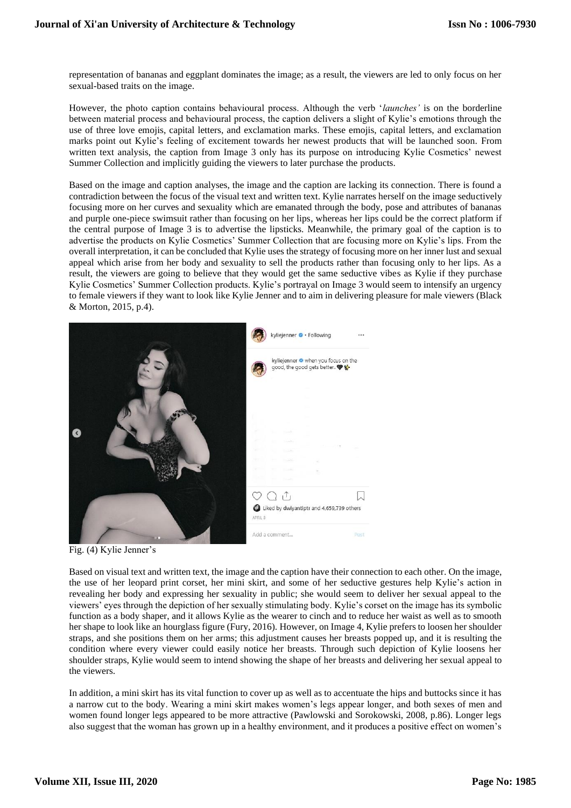representation of bananas and eggplant dominates the image; as a result, the viewers are led to only focus on her sexual-based traits on the image.

However, the photo caption contains behavioural process. Although the verb '*launches'* is on the borderline between material process and behavioural process, the caption delivers a slight of Kylie's emotions through the use of three love emojis, capital letters, and exclamation marks. These emojis, capital letters, and exclamation marks point out Kylie's feeling of excitement towards her newest products that will be launched soon. From written text analysis, the caption from Image 3 only has its purpose on introducing Kylie Cosmetics' newest Summer Collection and implicitly guiding the viewers to later purchase the products.

Based on the image and caption analyses, the image and the caption are lacking its connection. There is found a contradiction between the focus of the visual text and written text. Kylie narrates herself on the image seductively focusing more on her curves and sexuality which are emanated through the body, pose and attributes of bananas and purple one-piece swimsuit rather than focusing on her lips, whereas her lips could be the correct platform if the central purpose of Image 3 is to advertise the lipsticks. Meanwhile, the primary goal of the caption is to advertise the products on Kylie Cosmetics' Summer Collection that are focusing more on Kylie's lips. From the overall interpretation, it can be concluded that Kylie uses the strategy of focusing more on her inner lust and sexual appeal which arise from her body and sexuality to sell the products rather than focusing only to her lips. As a result, the viewers are going to believe that they would get the same seductive vibes as Kylie if they purchase Kylie Cosmetics' Summer Collection products. Kylie's portrayal on Image 3 would seem to intensify an urgency to female viewers if they want to look like Kylie Jenner and to aim in delivering pleasure for male viewers (Black & Morton, 2015, p.4).



Fig. (4) Kylie Jenner's

Based on visual text and written text, the image and the caption have their connection to each other. On the image, the use of her leopard print corset, her mini skirt, and some of her seductive gestures help Kylie's action in revealing her body and expressing her sexuality in public; she would seem to deliver her sexual appeal to the viewers' eyes through the depiction of her sexually stimulating body. Kylie's corset on the image has its symbolic function as a body shaper, and it allows Kylie as the wearer to cinch and to reduce her waist as well as to smooth her shape to look like an hourglass figure (Fury, 2016). However, on Image 4, Kylie prefers to loosen her shoulder straps, and she positions them on her arms; this adjustment causes her breasts popped up, and it is resulting the condition where every viewer could easily notice her breasts. Through such depiction of Kylie loosens her shoulder straps, Kylie would seem to intend showing the shape of her breasts and delivering her sexual appeal to the viewers.

In addition, a mini skirt has its vital function to cover up as well as to accentuate the hips and buttocks since it has a narrow cut to the body. Wearing a mini skirt makes women's legs appear longer, and both sexes of men and women found longer legs appeared to be more attractive (Pawlowski and Sorokowski, 2008, p.86). Longer legs also suggest that the woman has grown up in a healthy environment, and it produces a positive effect on women's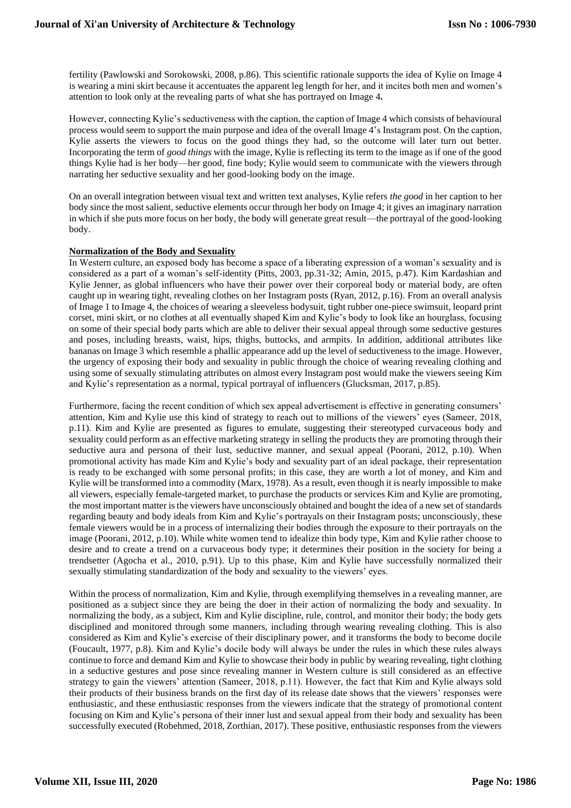fertility (Pawlowski and Sorokowski, 2008, p.86). This scientific rationale supports the idea of Kylie on Image 4 is wearing a mini skirt because it accentuates the apparent leg length for her, and it incites both men and women's attention to look only at the revealing parts of what she has portrayed on Image 4**.**

However, connecting Kylie's seductiveness with the caption, the caption of Image 4 which consists of behavioural process would seem to support the main purpose and idea of the overall Image 4's Instagram post. On the caption, Kylie asserts the viewers to focus on the good things they had, so the outcome will later turn out better. Incorporating the term of *good things* with the image, Kylie is reflecting its term to the image as if one of the good things Kylie had is her body—her good, fine body; Kylie would seem to communicate with the viewers through narrating her seductive sexuality and her good-looking body on the image.

On an overall integration between visual text and written text analyses, Kylie refers *the good* in her caption to her body since the most salient, seductive elements occur through her body on Image 4; it gives an imaginary narration in which if she puts more focus on her body, the body will generate great result—the portrayal of the good-looking body.

# **Normalization of the Body and Sexuality**

In Western culture, an exposed body has become a space of a liberating expression of a woman's sexuality and is considered as a part of a woman's self-identity (Pitts, 2003, pp.31-32; Amin, 2015, p.47). Kim Kardashian and Kylie Jenner, as global influencers who have their power over their corporeal body or material body, are often caught up in wearing tight, revealing clothes on her Instagram posts (Ryan, 2012, p.16). From an overall analysis of Image 1 to Image 4, the choices of wearing a sleeveless bodysuit, tight rubber one-piece swimsuit, leopard print corset, mini skirt, or no clothes at all eventually shaped Kim and Kylie's body to look like an hourglass, focusing on some of their special body parts which are able to deliver their sexual appeal through some seductive gestures and poses, including breasts, waist, hips, thighs, buttocks, and armpits. In addition, additional attributes like bananas on Image 3 which resemble a phallic appearance add up the level of seductiveness to the image. However, the urgency of exposing their body and sexuality in public through the choice of wearing revealing clothing and using some of sexually stimulating attributes on almost every Instagram post would make the viewers seeing Kim and Kylie's representation as a normal, typical portrayal of influencers (Glucksman, 2017, p.85).

Furthermore, facing the recent condition of which sex appeal advertisement is effective in generating consumers' attention, Kim and Kylie use this kind of strategy to reach out to millions of the viewers' eyes (Sameer, 2018, p.11). Kim and Kylie are presented as figures to emulate, suggesting their stereotyped curvaceous body and sexuality could perform as an effective marketing strategy in selling the products they are promoting through their seductive aura and persona of their lust, seductive manner, and sexual appeal (Poorani, 2012, p.10). When promotional activity has made Kim and Kylie's body and sexuality part of an ideal package, their representation is ready to be exchanged with some personal profits; in this case, they are worth a lot of money, and Kim and Kylie will be transformed into a commodity (Marx, 1978). As a result, even though it is nearly impossible to make all viewers, especially female-targeted market, to purchase the products or services Kim and Kylie are promoting, the most important matter is the viewers have unconsciously obtained and bought the idea of a new set of standards regarding beauty and body ideals from Kim and Kylie's portrayals on their Instagram posts; unconsciously, these female viewers would be in a process of internalizing their bodies through the exposure to their portrayals on the image (Poorani, 2012, p.10). While white women tend to idealize thin body type, Kim and Kylie rather choose to desire and to create a trend on a curvaceous body type; it determines their position in the society for being a trendsetter (Agocha et al., 2010, p.91). Up to this phase, Kim and Kylie have successfully normalized their sexually stimulating standardization of the body and sexuality to the viewers' eyes.

Within the process of normalization, Kim and Kylie, through exemplifying themselves in a revealing manner, are positioned as a subject since they are being the doer in their action of normalizing the body and sexuality. In normalizing the body, as a subject, Kim and Kylie discipline, rule, control, and monitor their body; the body gets disciplined and monitored through some manners, including through wearing revealing clothing. This is also considered as Kim and Kylie's exercise of their disciplinary power, and it transforms the body to become docile (Foucault, 1977, p.8). Kim and Kylie's docile body will always be under the rules in which these rules always continue to force and demand Kim and Kylie to showcase their body in public by wearing revealing, tight clothing in a seductive gestures and pose since revealing manner in Western culture is still considered as an effective strategy to gain the viewers' attention (Sameer, 2018, p.11). However, the fact that Kim and Kylie always sold their products of their business brands on the first day of its release date shows that the viewers' responses were enthusiastic, and these enthusiastic responses from the viewers indicate that the strategy of promotional content focusing on Kim and Kylie's persona of their inner lust and sexual appeal from their body and sexuality has been successfully executed (Robehmed, 2018, Zorthian, 2017). These positive, enthusiastic responses from the viewers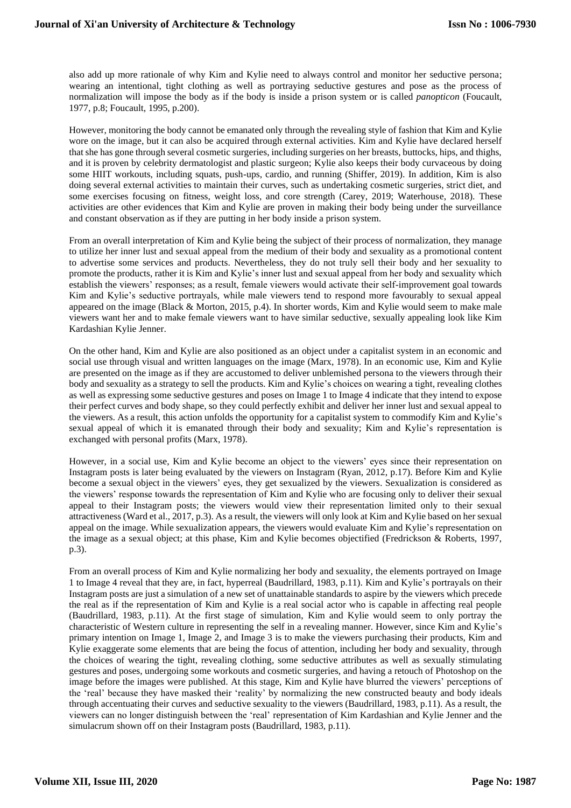also add up more rationale of why Kim and Kylie need to always control and monitor her seductive persona; wearing an intentional, tight clothing as well as portraying seductive gestures and pose as the process of normalization will impose the body as if the body is inside a prison system or is called *panopticon* (Foucault, 1977, p.8; Foucault, 1995, p.200).

However, monitoring the body cannot be emanated only through the revealing style of fashion that Kim and Kylie wore on the image, but it can also be acquired through external activities. Kim and Kylie have declared herself that she has gone through several cosmetic surgeries, including surgeries on her breasts, buttocks, hips, and thighs, and it is proven by celebrity dermatologist and plastic surgeon; Kylie also keeps their body curvaceous by doing some HIIT workouts, including squats, push-ups, cardio, and running (Shiffer, 2019). In addition, Kim is also doing several external activities to maintain their curves, such as undertaking cosmetic surgeries, strict diet, and some exercises focusing on fitness, weight loss, and core strength (Carey, 2019; Waterhouse, 2018). These activities are other evidences that Kim and Kylie are proven in making their body being under the surveillance and constant observation as if they are putting in her body inside a prison system.

From an overall interpretation of Kim and Kylie being the subject of their process of normalization, they manage to utilize her inner lust and sexual appeal from the medium of their body and sexuality as a promotional content to advertise some services and products. Nevertheless, they do not truly sell their body and her sexuality to promote the products, rather it is Kim and Kylie's inner lust and sexual appeal from her body and sexuality which establish the viewers' responses; as a result, female viewers would activate their self-improvement goal towards Kim and Kylie's seductive portrayals, while male viewers tend to respond more favourably to sexual appeal appeared on the image (Black & Morton, 2015, p.4). In shorter words, Kim and Kylie would seem to make male viewers want her and to make female viewers want to have similar seductive, sexually appealing look like Kim Kardashian Kylie Jenner.

On the other hand, Kim and Kylie are also positioned as an object under a capitalist system in an economic and social use through visual and written languages on the image (Marx, 1978). In an economic use, Kim and Kylie are presented on the image as if they are accustomed to deliver unblemished persona to the viewers through their body and sexuality as a strategy to sell the products. Kim and Kylie's choices on wearing a tight, revealing clothes as well as expressing some seductive gestures and poses on Image 1 to Image 4 indicate that they intend to expose their perfect curves and body shape, so they could perfectly exhibit and deliver her inner lust and sexual appeal to the viewers. As a result, this action unfolds the opportunity for a capitalist system to commodify Kim and Kylie's sexual appeal of which it is emanated through their body and sexuality; Kim and Kylie's representation is exchanged with personal profits (Marx, 1978).

However, in a social use, Kim and Kylie become an object to the viewers' eyes since their representation on Instagram posts is later being evaluated by the viewers on Instagram (Ryan, 2012, p.17). Before Kim and Kylie become a sexual object in the viewers' eyes, they get sexualized by the viewers. Sexualization is considered as the viewers' response towards the representation of Kim and Kylie who are focusing only to deliver their sexual appeal to their Instagram posts; the viewers would view their representation limited only to their sexual attractiveness (Ward et al., 2017, p.3). As a result, the viewers will only look at Kim and Kylie based on her sexual appeal on the image. While sexualization appears, the viewers would evaluate Kim and Kylie's representation on the image as a sexual object; at this phase, Kim and Kylie becomes objectified (Fredrickson & Roberts, 1997, p.3).

From an overall process of Kim and Kylie normalizing her body and sexuality, the elements portrayed on Image 1 to Image 4 reveal that they are, in fact, hyperreal (Baudrillard, 1983, p.11). Kim and Kylie's portrayals on their Instagram posts are just a simulation of a new set of unattainable standards to aspire by the viewers which precede the real as if the representation of Kim and Kylie is a real social actor who is capable in affecting real people (Baudrillard, 1983, p.11). At the first stage of simulation, Kim and Kylie would seem to only portray the characteristic of Western culture in representing the self in a revealing manner. However, since Kim and Kylie's primary intention on Image 1, Image 2, and Image 3 is to make the viewers purchasing their products, Kim and Kylie exaggerate some elements that are being the focus of attention, including her body and sexuality, through the choices of wearing the tight, revealing clothing, some seductive attributes as well as sexually stimulating gestures and poses, undergoing some workouts and cosmetic surgeries, and having a retouch of Photoshop on the image before the images were published. At this stage, Kim and Kylie have blurred the viewers' perceptions of the 'real' because they have masked their 'reality' by normalizing the new constructed beauty and body ideals through accentuating their curves and seductive sexuality to the viewers (Baudrillard, 1983, p.11). As a result, the viewers can no longer distinguish between the 'real' representation of Kim Kardashian and Kylie Jenner and the simulacrum shown off on their Instagram posts (Baudrillard, 1983, p.11).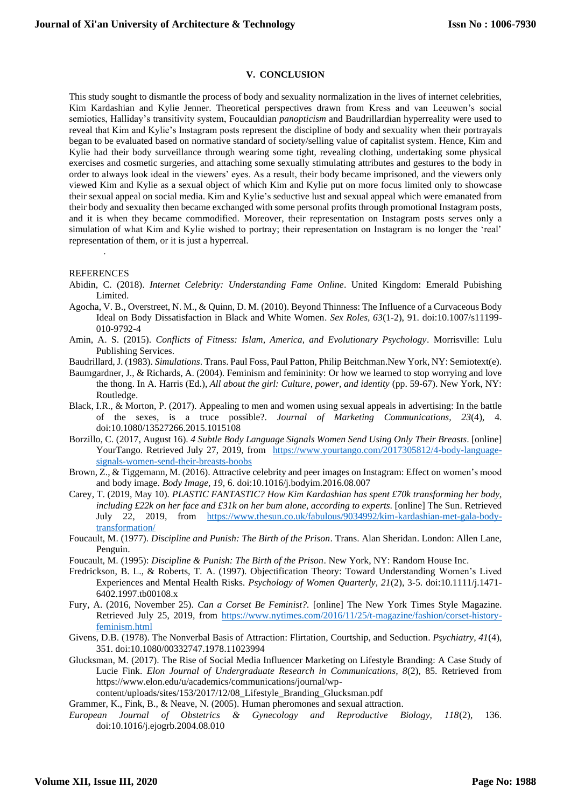## **V. CONCLUSION**

This study sought to dismantle the process of body and sexuality normalization in the lives of internet celebrities, Kim Kardashian and Kylie Jenner. Theoretical perspectives drawn from Kress and van Leeuwen's social semiotics, Halliday's transitivity system, Foucauldian *panopticism* and Baudrillardian hyperreality were used to reveal that Kim and Kylie's Instagram posts represent the discipline of body and sexuality when their portrayals began to be evaluated based on normative standard of society/selling value of capitalist system. Hence, Kim and Kylie had their body surveillance through wearing some tight, revealing clothing, undertaking some physical exercises and cosmetic surgeries, and attaching some sexually stimulating attributes and gestures to the body in order to always look ideal in the viewers' eyes. As a result, their body became imprisoned, and the viewers only viewed Kim and Kylie as a sexual object of which Kim and Kylie put on more focus limited only to showcase their sexual appeal on social media. Kim and Kylie's seductive lust and sexual appeal which were emanated from their body and sexuality then became exchanged with some personal profits through promotional Instagram posts, and it is when they became commodified. Moreover, their representation on Instagram posts serves only a simulation of what Kim and Kylie wished to portray; their representation on Instagram is no longer the 'real' representation of them, or it is just a hyperreal.

#### REFERENCES

.

- Abidin, C. (2018). *Internet Celebrity: Understanding Fame Online*. United Kingdom: Emerald Pubishing Limited.
- Agocha, V. B., Overstreet, N. M., & Quinn, D. M. (2010). Beyond Thinness: The Influence of a Curvaceous Body Ideal on Body Dissatisfaction in Black and White Women. *Sex Roles, 63*(1-2), 91. doi:10.1007/s11199- 010-9792-4
- Amin, A. S. (2015). *Conflicts of Fitness: Islam, America, and Evolutionary Psychology*. Morrisville: Lulu Publishing Services.
- Baudrillard, J. (1983). *Simulations*. Trans. Paul Foss, Paul Patton, Philip Beitchman.New York, NY: Semiotext(e).
- Baumgardner, J., & Richards, A. (2004). Feminism and femininity: Or how we learned to stop worrying and love the thong. In A. Harris (Ed.), *All about the girl: Culture, power, and identity* (pp. 59-67). New York, NY: Routledge.
- Black, I.R., & Morton, P. (2017). Appealing to men and women using sexual appeals in advertising: In the battle of the sexes, is a truce possible?. *Journal of Marketing Communications, 23*(4), 4. doi:10.1080/13527266.2015.1015108
- Borzillo, C. (2017, August 16). *4 Subtle Body Language Signals Women Send Using Only Their Breasts*. [online] YourTango. Retrieved July 27, 2019, from [https://www.yourtango.com/2017305812/4-body-language](https://www.yourtango.com/2017305812/4-body-language-signals-women-send-their-breasts-boobs)[signals-women-send-their-breasts-boobs](https://www.yourtango.com/2017305812/4-body-language-signals-women-send-their-breasts-boobs)
- Brown, Z., & Tiggemann, M. (2016). Attractive celebrity and peer images on Instagram: Effect on women's mood and body image. *Body Image, 19,* 6. doi:10.1016/j.bodyim.2016.08.007
- Carey, T. (2019, May 10)*. PLASTIC FANTASTIC? How Kim Kardashian has spent £70k transforming her body, including £22k on her face and £31k on her bum alone, according to experts*. [online] The Sun. Retrieved July 22, 2019, from [https://www.thesun.co.uk/fabulous/9034992/kim-kardashian-met-gala-body](https://www.thesun.co.uk/fabulous/9034992/kim-kardashian-met-gala-body-transformation/)[transformation/](https://www.thesun.co.uk/fabulous/9034992/kim-kardashian-met-gala-body-transformation/)
- Foucault, M. (1977). *Discipline and Punish: The Birth of the Prison*. Trans. Alan Sheridan. London: Allen Lane, Penguin.
- Foucault, M. (1995): *Discipline & Punish: The Birth of the Prison*. New York, NY: Random House Inc.
- Fredrickson, B. L., & Roberts, T. A. (1997). Objectification Theory: Toward Understanding Women's Lived Experiences and Mental Health Risks*. Psychology of Women Quarterly, 21*(2), 3-5. doi:10.1111/j.1471- 6402.1997.tb00108.x
- Fury, A. (2016, November 25). *Can a Corset Be Feminist?.* [online] The New York Times Style Magazine. Retrieved July 25, 2019, from [https://www.nytimes.com/2016/11/25/t-magazine/fashion/corset-history](https://www.nytimes.com/2016/11/25/t-magazine/fashion/corset-history-feminism.html)[feminism.html](https://www.nytimes.com/2016/11/25/t-magazine/fashion/corset-history-feminism.html)
- Givens, D.B. (1978). The Nonverbal Basis of Attraction: Flirtation, Courtship, and Seduction. *Psychiatry, 41*(4), 351. doi:10.1080/00332747.1978.11023994
- Glucksman, M. (2017). The Rise of Social Media Influencer Marketing on Lifestyle Branding: A Case Study of Lucie Fink. *Elon Journal of Undergraduate Research in Communications, 8*(2), 85. Retrieved from https://www.elon.edu/u/academics/communications/journal/wp
	- content/uploads/sites/153/2017/12/08\_Lifestyle\_Branding\_Glucksman.pdf

Grammer, K., Fink, B., & Neave, N. (2005). Human pheromones and sexual attraction.

*European Journal of Obstetrics & Gynecology and Reproductive Biology, 118*(2), 136. doi:10.1016/j.ejogrb.2004.08.010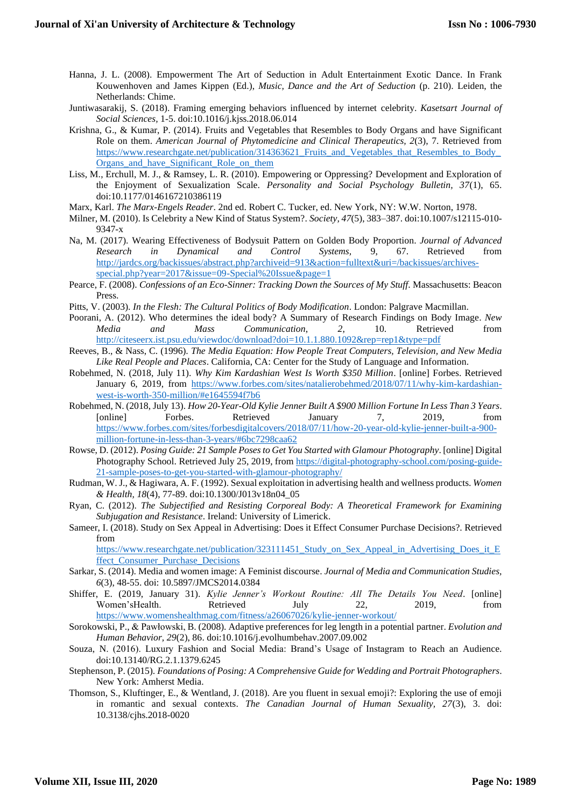- Hanna, J. L. (2008). Empowerment The Art of Seduction in Adult Entertainment Exotic Dance. In Frank Kouwenhoven and James Kippen (Ed.), *Music, Dance and the Art of Seduction* (p. 210). Leiden, the Netherlands: Chime.
- Juntiwasarakij, S. (2018). Framing emerging behaviors influenced by internet celebrity. *Kasetsart Journal of Social Sciences,* 1-5. doi:10.1016/j.kjss.2018.06.014
- Krishna, G., & Kumar, P. (2014). Fruits and Vegetables that Resembles to Body Organs and have Significant Role on them. *American Journal of Phytomedicine and Clinical Therapeutics, 2*(3), 7. Retrieved from https://www.researchgate.net/publication/314363621 Fruits and Vegetables that Resembles to Body [Organs\\_and\\_have\\_Significant\\_Role\\_on\\_them](https://www.researchgate.net/publication/314363621_Fruits_and_Vegetables_that_Resembles_to_Body_Organs_and_have_Significant_Role_on_them)
- Liss, M., Erchull, M. J., & Ramsey, L. R. (2010). Empowering or Oppressing? Development and Exploration of the Enjoyment of Sexualization Scale. *Personality and Social Psychology Bulletin, 37*(1), 65. doi:10.1177/0146167210386119
- Marx, Karl. *The Marx-Engels Reader*. 2nd ed. Robert C. Tucker, ed. New York, NY: W.W. Norton, 1978.
- Milner, M. (2010). Is Celebrity a New Kind of Status System?. *Society, 47*(5), 383–387. doi:10.1007/s12115-010- 9347-x
- Na, M. (2017). Wearing Effectiveness of Bodysuit Pattern on Golden Body Proportion. *Journal of Advanced Research in Dynamical and Control Systems,* 9, 67. Retrieved from [http://jardcs.org/backissues/abstract.php?archiveid=913&action=fulltext&uri=/backissues/archives](http://jardcs.org/backissues/abstract.php?archiveid=913&action=fulltext&uri=/backissues/archives-special.php?year=2017&issue=09-Special%20Issue&page=1)[special.php?year=2017&issue=09-Special%20Issue&page=1](http://jardcs.org/backissues/abstract.php?archiveid=913&action=fulltext&uri=/backissues/archives-special.php?year=2017&issue=09-Special%20Issue&page=1)
- Pearce, F. (2008). *Confessions of an Eco-Sinner: Tracking Down the Sources of My Stuff*. Massachusetts: Beacon Press.
- Pitts, V. (2003). *In the Flesh: The Cultural Politics of Body Modification*. London: Palgrave Macmillan.
- Poorani, A. (2012). Who determines the ideal body? A Summary of Research Findings on Body Image. *New Media and Mass Communication*, *2*, 10. Retrieved from <http://citeseerx.ist.psu.edu/viewdoc/download?doi=10.1.1.880.1092&rep=rep1&type=pdf>
- Reeves, B., & Nass, C. (1996). *The Media Equation: How People Treat Computers, Television, and New Media Like Real People and Places*. California, CA: Center for the Study of Language and Information.
- Robehmed, N. (2018, July 11). *Why Kim Kardashian West Is Worth \$350 Million*. [online] Forbes. Retrieved January 6, 2019, from [https://www.forbes.com/sites/natalierobehmed/2018/07/11/why-kim-kardashian](https://www.forbes.com/sites/natalierobehmed/2018/07/11/why-kim-kardashian-west-is-worth-350-million/#e1645594f7b6)[west-is-worth-350-million/#e1645594f7b6](https://www.forbes.com/sites/natalierobehmed/2018/07/11/why-kim-kardashian-west-is-worth-350-million/#e1645594f7b6)
- Robehmed, N. (2018, July 13). *How 20-Year-Old Kylie Jenner Built A \$900 Million Fortune In Less Than 3 Years*. [online] Forbes. Retrieved January 7, 2019, from [https://www.forbes.com/sites/forbesdigitalcovers/2018/07/11/how-20-year-old-kylie-jenner-built-a-900](https://www.forbes.com/sites/forbesdigitalcovers/2018/07/11/how-20-year-old-kylie-jenner-built-a-900-million-fortune-in-less-than-3-years/#6bc7298caa62) [million-fortune-in-less-than-3-years/#6bc7298caa62](https://www.forbes.com/sites/forbesdigitalcovers/2018/07/11/how-20-year-old-kylie-jenner-built-a-900-million-fortune-in-less-than-3-years/#6bc7298caa62)
- Rowse, D. (2012). *Posing Guide: 21 Sample Poses to Get You Started with Glamour Photography*. [online] Digital Photography School. Retrieved July 25, 2019, from [https://digital-photography-school.com/posing-guide-](https://digital-photography-school.com/posing-guide-21-sample-poses-to-get-you-started-with-glamour-photography/)[21-sample-poses-to-get-you-started-with-glamour-photography/](https://digital-photography-school.com/posing-guide-21-sample-poses-to-get-you-started-with-glamour-photography/)
- Rudman, W. J., & Hagiwara, A. F. (1992). Sexual exploitation in advertising health and wellness products. *Women & Health, 18*(4), 77-89. doi:10.1300/J013v18n04\_05
- Ryan, C. (2012). *The Subjectified and Resisting Corporeal Body: A Theoretical Framework for Examining Subjugation and Resistance*. Ireland: University of Limerick.
- Sameer, I. (2018). Study on Sex Appeal in Advertising: Does it Effect Consumer Purchase Decisions?. Retrieved from

[https://www.researchgate.net/publication/323111451\\_Study\\_on\\_Sex\\_Appeal\\_in\\_Advertising\\_Does\\_it\\_E](https://www.researchgate.net/publication/323111451_Study_on_Sex_Appeal_in_Advertising_Does_it_Effect_Consumer_Purchase_Decisions) ffect Consumer Purchase Decisions

- Sarkar, S. (2014). Media and women image: A Feminist discourse. *Journal of Media and Communication Studies, 6*(3), 48-55. doi: 10.5897/JMCS2014.0384
- Shiffer, E. (2019, January 31). *Kylie Jenner's Workout Routine: All The Details You Need*. [online] Women'sHealth. Retrieved July 22, 2019, from <https://www.womenshealthmag.com/fitness/a26067026/kylie-jenner-workout/>
- Sorokowski, P., & Pawłowski, B. (2008). Adaptive preferences for leg length in a potential partner. *Evolution and Human Behavior, 29*(2), 86. doi:10.1016/j.evolhumbehav.2007.09.002
- Souza, N. (2016). Luxury Fashion and Social Media: Brand's Usage of Instagram to Reach an Audience. doi:10.13140/RG.2.1.1379.6245
- Stephenson, P. (2015). *Foundations of Posing: A Comprehensive Guide for Wedding and Portrait Photographers*. New York: Amherst Media.
- Thomson, S., Kluftinger, E., & Wentland, J. (2018). Are you fluent in sexual emoji?: Exploring the use of emoji in romantic and sexual contexts. *The Canadian Journal of Human Sexuality, 27*(3), 3. doi: 10.3138/cjhs.2018-0020